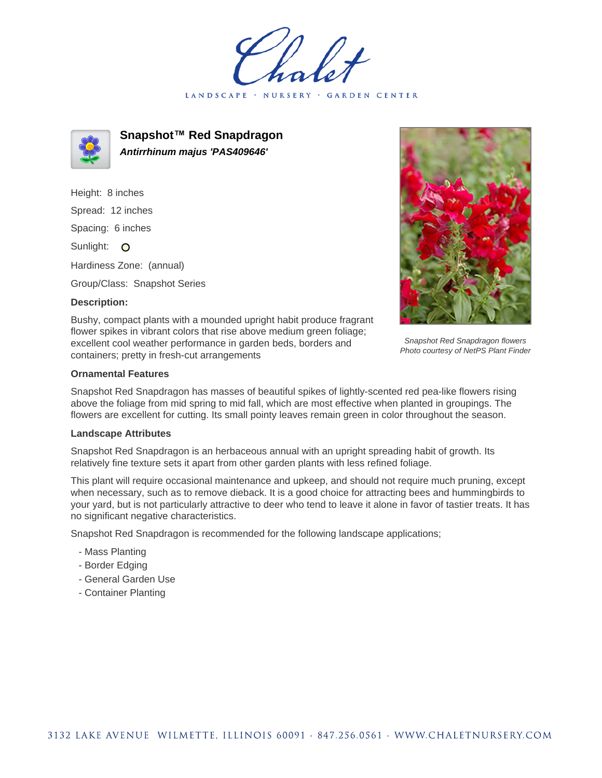LANDSCAPE · GARDEN CENTER



**Snapshot™ Red Snapdragon Antirrhinum majus 'PAS409646'**

Height: 8 inches Spread: 12 inches Spacing: 6 inches Sunlight: O Hardiness Zone: (annual) Group/Class: Snapshot Series

## **Description:**



Snapshot Red Snapdragon flowers Photo courtesy of NetPS Plant Finder

Bushy, compact plants with a mounded upright habit produce fragrant flower spikes in vibrant colors that rise above medium green foliage; excellent cool weather performance in garden beds, borders and containers; pretty in fresh-cut arrangements

## **Ornamental Features**

Snapshot Red Snapdragon has masses of beautiful spikes of lightly-scented red pea-like flowers rising above the foliage from mid spring to mid fall, which are most effective when planted in groupings. The flowers are excellent for cutting. Its small pointy leaves remain green in color throughout the season.

## **Landscape Attributes**

Snapshot Red Snapdragon is an herbaceous annual with an upright spreading habit of growth. Its relatively fine texture sets it apart from other garden plants with less refined foliage.

This plant will require occasional maintenance and upkeep, and should not require much pruning, except when necessary, such as to remove dieback. It is a good choice for attracting bees and hummingbirds to your yard, but is not particularly attractive to deer who tend to leave it alone in favor of tastier treats. It has no significant negative characteristics.

Snapshot Red Snapdragon is recommended for the following landscape applications;

- Mass Planting
- Border Edging
- General Garden Use
- Container Planting